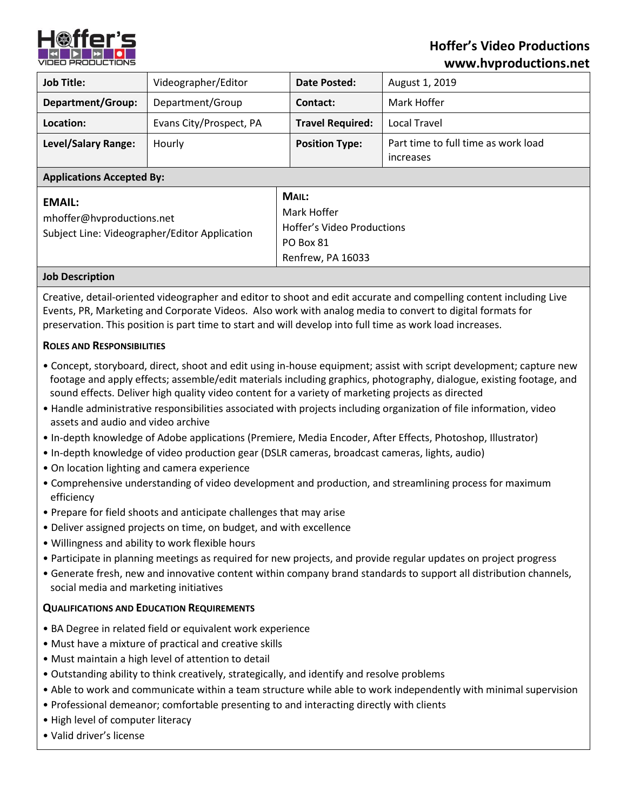

# **Hoffer's Video Productions www.hvproductions.net**

| <b>Job Title:</b>                                                                           | Videographer/Editor     | Date Posted:                                                                         | August 1, 2019                                   |
|---------------------------------------------------------------------------------------------|-------------------------|--------------------------------------------------------------------------------------|--------------------------------------------------|
| <b>Department/Group:</b>                                                                    | Department/Group        | Contact:                                                                             | Mark Hoffer                                      |
| Location:                                                                                   | Evans City/Prospect, PA | <b>Travel Required:</b>                                                              | Local Travel                                     |
| <b>Level/Salary Range:</b>                                                                  | Hourly                  | <b>Position Type:</b>                                                                | Part time to full time as work load<br>increases |
| <b>Applications Accepted By:</b>                                                            |                         |                                                                                      |                                                  |
| <b>EMAIL:</b><br>mhoffer@hvproductions.net<br>Subject Line: Videographer/Editor Application |                         | MAIL:<br>Mark Hoffer<br>Hoffer's Video Productions<br>PO Box 81<br>Renfrew, PA 16033 |                                                  |

#### **Job Description**

Creative, detail-oriented videographer and editor to shoot and edit accurate and compelling content including Live Events, PR, Marketing and Corporate Videos. Also work with analog media to convert to digital formats for preservation. This position is part time to start and will develop into full time as work load increases.

#### **ROLES AND RESPONSIBILITIES**

- Concept, storyboard, direct, shoot and edit using in-house equipment; assist with script development; capture new footage and apply effects; assemble/edit materials including graphics, photography, dialogue, existing footage, and sound effects. Deliver high quality video content for a variety of marketing projects as directed
- Handle administrative responsibilities associated with projects including organization of file information, video assets and audio and video archive
- In-depth knowledge of Adobe applications (Premiere, Media Encoder, After Effects, Photoshop, Illustrator)
- In-depth knowledge of video production gear (DSLR cameras, broadcast cameras, lights, audio)
- On location lighting and camera experience
- Comprehensive understanding of video development and production, and streamlining process for maximum efficiency
- Prepare for field shoots and anticipate challenges that may arise
- Deliver assigned projects on time, on budget, and with excellence
- Willingness and ability to work flexible hours
- Participate in planning meetings as required for new projects, and provide regular updates on project progress
- Generate fresh, new and innovative content within company brand standards to support all distribution channels, social media and marketing initiatives

#### **QUALIFICATIONS AND EDUCATION REQUIREMENTS**

- BA Degree in related field or equivalent work experience
- Must have a mixture of practical and creative skills
- Must maintain a high level of attention to detail
- Outstanding ability to think creatively, strategically, and identify and resolve problems
- Able to work and communicate within a team structure while able to work independently with minimal supervision
- Professional demeanor; comfortable presenting to and interacting directly with clients
- High level of computer literacy
- Valid driver's license